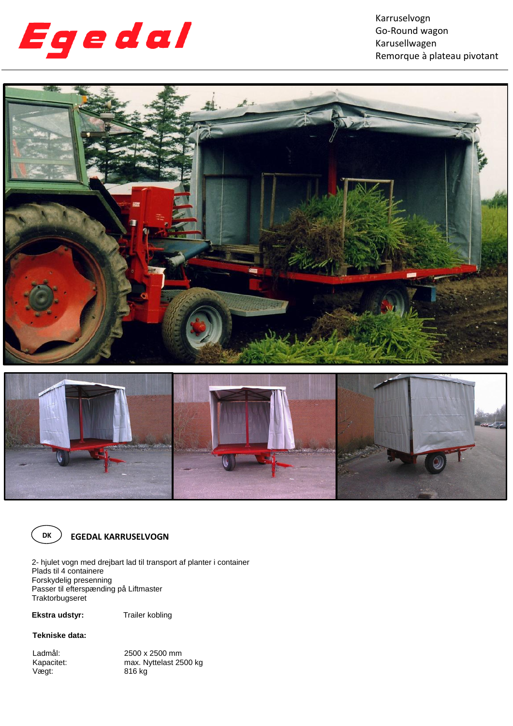

Karruselvogn Go-Round wagon Karusellwagen Remorque à plateau pivotant







**EGEDAL KARRUSELVOGN**

2- hjulet vogn med drejbart lad til transport af planter i container Plads til 4 containere Forskydelig presenning Passer til efterspænding på Liftmaster Traktorbugseret

**Ekstra udstyr:** Trailer kobling

## **Tekniske data:**

Ladmål: 2500 x 2500 mm<br>Kapacitet: max. Nyttelast 25 Kapacitet: max. Nyttelast 2500 kg<br>Vægt: 616 kg 816 kg